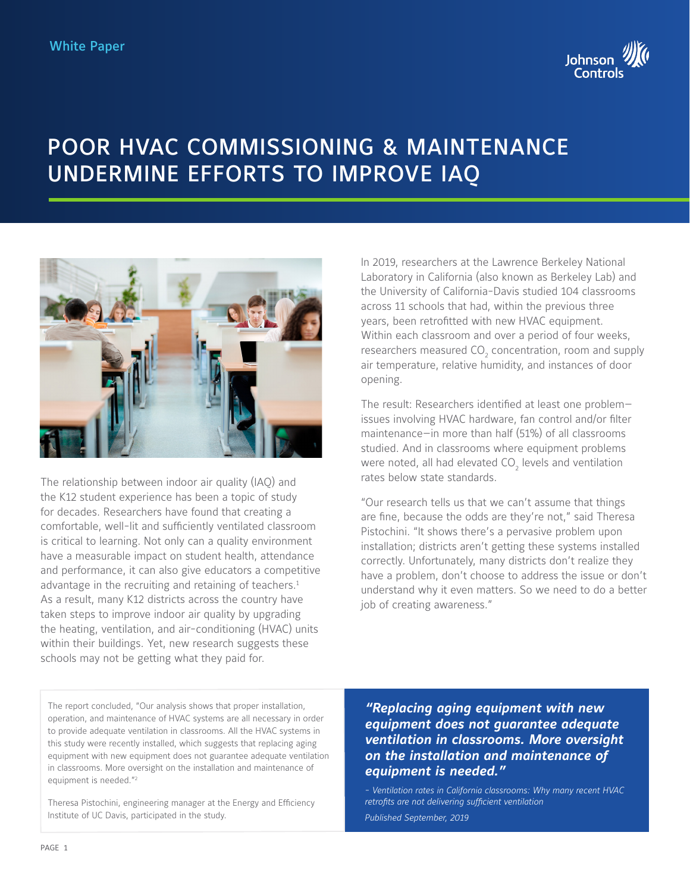

# POOR HVAC COMMISSIONING & MAINTENANCE UNDERMINE EFFORTS TO IMPROVE IAQ



The relationship between indoor air quality (IAQ) and the K12 student experience has been a topic of study for decades. Researchers have found that creating a comfortable, well-lit and sufficiently ventilated classroom is critical to learning. Not only can a quality environment have a measurable impact on student health, attendance and performance, it can also give educators a competitive advantage in the recruiting and retaining of teachers.<sup>1</sup> As a result, many K12 districts across the country have taken steps to improve indoor air quality by upgrading the heating, ventilation, and air-conditioning (HVAC) units within their buildings. Yet, new research suggests these schools may not be getting what they paid for.

In 2019, researchers at the Lawrence Berkeley National Laboratory in California (also known as Berkeley Lab) and the University of California-Davis studied 104 classrooms across 11 schools that had, within the previous three years, been retrofitted with new HVAC equipment. Within each classroom and over a period of four weeks, researchers measured  $\mathrm{CO}_2$  concentration, room and supply air temperature, relative humidity, and instances of door opening.

The result: Researchers identified at least one problem issues involving HVAC hardware, fan control and/or filter maintenance—in more than half (51%) of all classrooms studied. And in classrooms where equipment problems were noted, all had elevated  $\mathsf{CO}_2$  levels and ventilation rates below state standards.

"Our research tells us that we can't assume that things are fine, because the odds are they're not," said Theresa Pistochini. "It shows there's a pervasive problem upon installation; districts aren't getting these systems installed correctly. Unfortunately, many districts don't realize they have a problem, don't choose to address the issue or don't understand why it even matters. So we need to do a better job of creating awareness."

The report concluded, "Our analysis shows that proper installation, operation, and maintenance of HVAC systems are all necessary in order to provide adequate ventilation in classrooms. All the HVAC systems in this study were recently installed, which suggests that replacing aging equipment with new equipment does not guarantee adequate ventilation in classrooms. More oversight on the installation and maintenance of equipment is needed."2

Theresa Pistochini, engineering manager at the Energy and Efficiency Institute of UC Davis, participated in the study.

*"Replacing aging equipment with new equipment does not guarantee adequate ventilation in classrooms. More oversight on the installation and maintenance of equipment is needed."*

*- Ventilation rates in California classrooms: Why many recent HVAC retrofits are not delivering sufficient ventilation*

*Published September, 2019*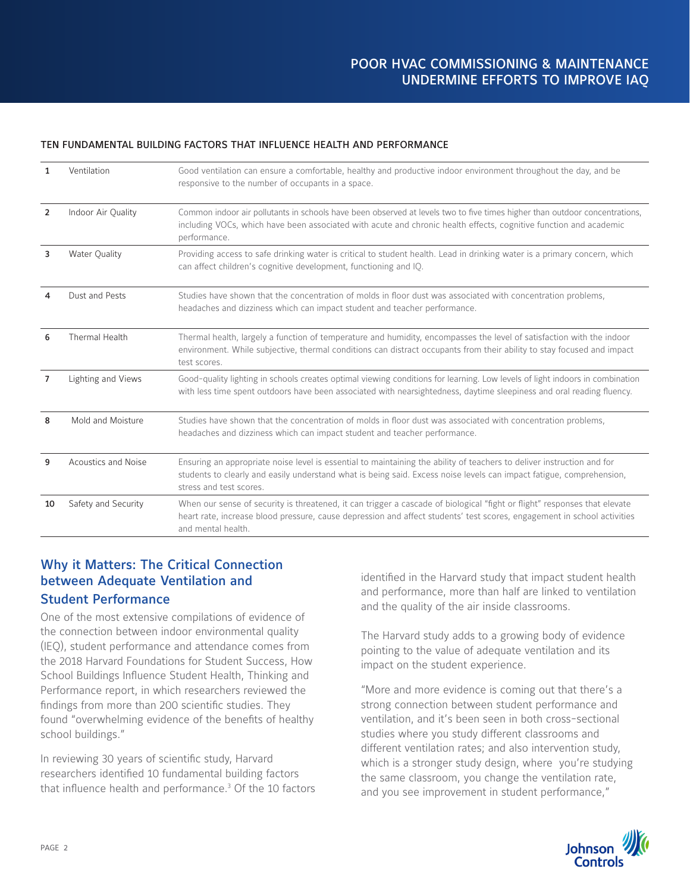#### TEN FUNDAMENTAL BUILDING FACTORS THAT INFLUENCE HEALTH AND PERFORMANCE

| 1              | Ventilation                | Good ventilation can ensure a comfortable, healthy and productive indoor environment throughout the day, and be<br>responsive to the number of occupants in a space.                                                                                                       |
|----------------|----------------------------|----------------------------------------------------------------------------------------------------------------------------------------------------------------------------------------------------------------------------------------------------------------------------|
| $\overline{2}$ | Indoor Air Quality         | Common indoor air pollutants in schools have been observed at levels two to five times higher than outdoor concentrations,<br>including VOCs, which have been associated with acute and chronic health effects, cognitive function and academic<br>performance.            |
| 3              | <b>Water Quality</b>       | Providing access to safe drinking water is critical to student health. Lead in drinking water is a primary concern, which<br>can affect children's cognitive development, functioning and IQ.                                                                              |
| 4              | Dust and Pests             | Studies have shown that the concentration of molds in floor dust was associated with concentration problems,<br>headaches and dizziness which can impact student and teacher performance.                                                                                  |
| 6              | Thermal Health             | Thermal health, largely a function of temperature and humidity, encompasses the level of satisfaction with the indoor<br>environment. While subjective, thermal conditions can distract occupants from their ability to stay focused and impact<br>test scores.            |
| $\overline{7}$ | Lighting and Views         | Good-quality lighting in schools creates optimal viewing conditions for learning. Low levels of light indoors in combination<br>with less time spent outdoors have been associated with nearsightedness, daytime sleepiness and oral reading fluency.                      |
| 8              | Mold and Moisture          | Studies have shown that the concentration of molds in floor dust was associated with concentration problems,<br>headaches and dizziness which can impact student and teacher performance.                                                                                  |
| 9              | <b>Acoustics and Noise</b> | Ensuring an appropriate noise level is essential to maintaining the ability of teachers to deliver instruction and for<br>students to clearly and easily understand what is being said. Excess noise levels can impact fatigue, comprehension,<br>stress and test scores.  |
| 10             | Safety and Security        | When our sense of security is threatened, it can trigger a cascade of biological "fight or flight" responses that elevate<br>heart rate, increase blood pressure, cause depression and affect students' test scores, engagement in school activities<br>and mental health. |

## Why it Matters: The Critical Connection between Adequate Ventilation and

### Student Performance

One of the most extensive compilations of evidence of the connection between indoor environmental quality (IEQ), student performance and attendance comes from the 2018 Harvard Foundations for Student Success, How School Buildings Influence Student Health, Thinking and Performance report, in which researchers reviewed the findings from more than 200 scientific studies. They found "overwhelming evidence of the benefits of healthy school buildings."

In reviewing 30 years of scientific study, Harvard researchers identified 10 fundamental building factors that influence health and performance.<sup>3</sup> Of the 10 factors identified in the Harvard study that impact student health and performance, more than half are linked to ventilation and the quality of the air inside classrooms.

The Harvard study adds to a growing body of evidence pointing to the value of adequate ventilation and its impact on the student experience.

"More and more evidence is coming out that there's a strong connection between student performance and ventilation, and it's been seen in both cross-sectional studies where you study different classrooms and different ventilation rates; and also intervention study, which is a stronger study design, where you're studying the same classroom, you change the ventilation rate, and you see improvement in student performance,"

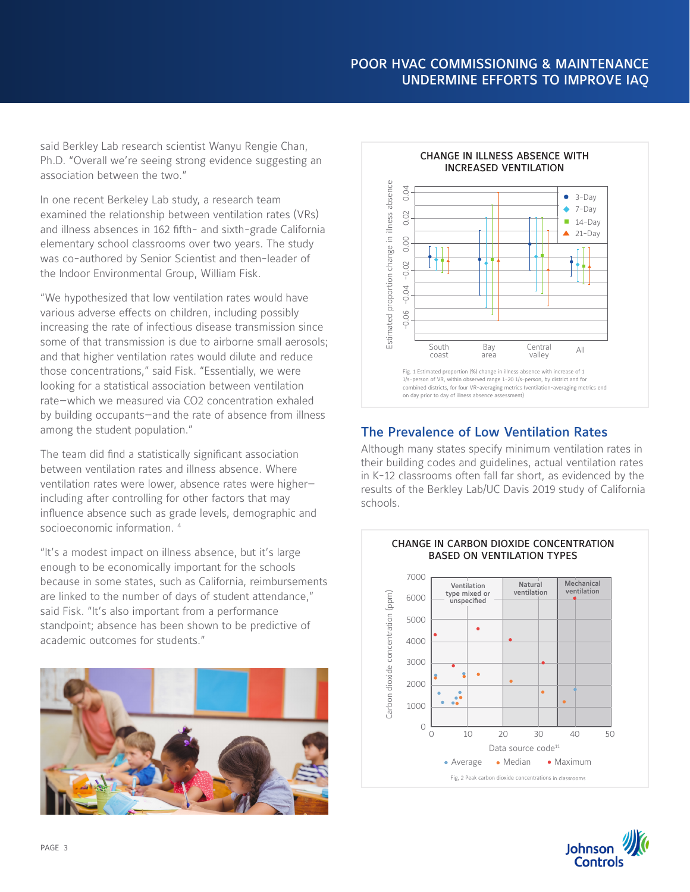## POOR HVAC COMMISSIONING & MAINTENANCE UNDERMINE EFFORTS TO IMPROVE IAQ

said Berkley Lab research scientist Wanyu Rengie Chan, Ph.D. "Overall we're seeing strong evidence suggesting an association between the two."

In one recent Berkeley Lab study, a research team examined the relationship between ventilation rates (VRs) and illness absences in 162 fifth- and sixth-grade California elementary school classrooms over two years. The study was co-authored by Senior Scientist and then-leader of the Indoor Environmental Group, William Fisk.

"We hypothesized that low ventilation rates would have various adverse effects on children, including possibly increasing the rate of infectious disease transmission since some of that transmission is due to airborne small aerosols; and that higher ventilation rates would dilute and reduce those concentrations," said Fisk. "Essentially, we were looking for a statistical association between ventilation rate—which we measured via CO2 concentration exhaled by building occupants—and the rate of absence from illness among the student population."

The team did find a statistically significant association between ventilation rates and illness absence. Where ventilation rates were lower, absence rates were higher including after controlling for other factors that may influence absence such as grade levels, demographic and socioeconomic information. 4

"It's a modest impact on illness absence, but it's large enough to be economically important for the schools because in some states, such as California, reimbursements are linked to the number of days of student attendance," said Fisk. "It's also important from a performance standpoint; absence has been shown to be predictive of academic outcomes for students."





## The Prevalence of Low Ventilation Rates

Although many states specify minimum ventilation rates in their building codes and guidelines, actual ventilation rates in K-12 classrooms often fall far short, as evidenced by the results of the Berkley Lab/UC Davis 2019 study of California schools.



#### CHANGE IN CARBON DIOXIDE CONCENTRATION BASED ON VENTILATION TYPES

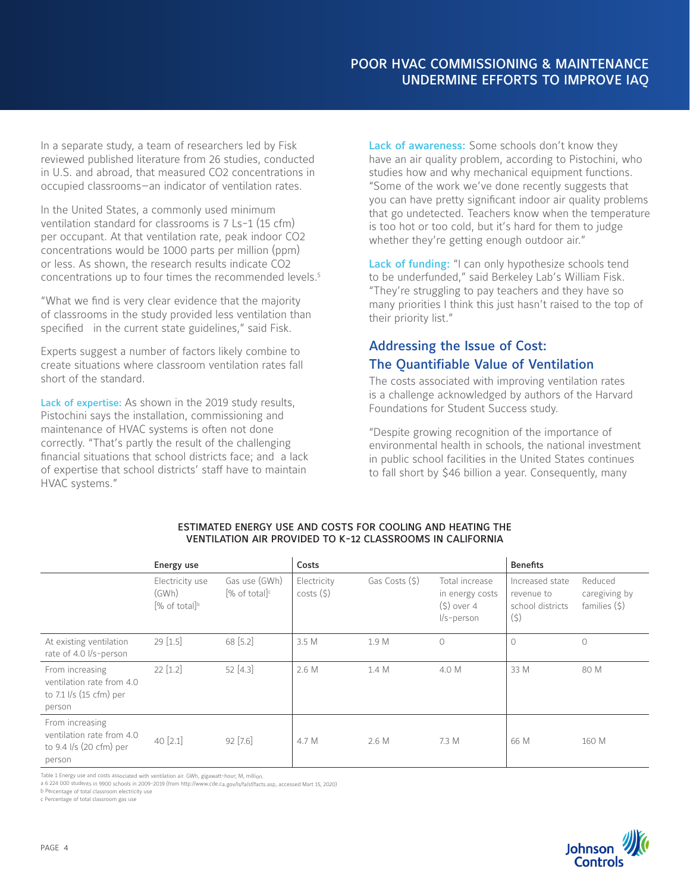In a separate study, a team of researchers led by Fisk reviewed published literature from 26 studies, conducted in U.S. and abroad, that measured CO2 concentrations in occupied classrooms—an indicator of ventilation rates.

In the United States, a commonly used minimum ventilation standard for classrooms is 7 Ls-1 (15 cfm) per occupant. At that ventilation rate, peak indoor CO2 concentrations would be 1000 parts per million (ppm) or less. As shown, the research results indicate CO2 concentrations up to four times the recommended levels.<sup>5</sup>

"What we find is very clear evidence that the majority of classrooms in the study provided less ventilation than specified in the current state guidelines," said Fisk.

Experts suggest a number of factors likely combine to create situations where classroom ventilation rates fall short of the standard.

Lack of expertise: As shown in the 2019 study results, Pistochini says the installation, commissioning and maintenance of HVAC systems is often not done correctly. "That's partly the result of the challenging financial situations that school districts face; and a lack of expertise that school districts' staff have to maintain HVAC systems."

Lack of awareness: Some schools don't know they have an air quality problem, according to Pistochini, who studies how and why mechanical equipment functions. "Some of the work we've done recently suggests that you can have pretty significant indoor air quality problems that go undetected. Teachers know when the temperature is too hot or too cold, but it's hard for them to judge whether they're getting enough outdoor air."

Lack of funding: "I can only hypothesize schools tend to be underfunded," said Berkeley Lab's William Fisk. "They're struggling to pay teachers and they have so many priorities I think this just hasn't raised to the top of their priority list."

## Addressing the Issue of Cost: The Quantifiable Value of Ventilation

The costs associated with improving ventilation rates is a challenge acknowledged by authors of the Harvard Foundations for Student Success study.

"Despite growing recognition of the importance of environmental health in schools, the national investment in public school facilities in the United States continues to fall short by \$46 billion a year. Consequently, many

|                                                                                   | Energy use                                             |                                              | Costs                   |                |                                                                    | <b>Benefits</b>                                          |                                            |
|-----------------------------------------------------------------------------------|--------------------------------------------------------|----------------------------------------------|-------------------------|----------------|--------------------------------------------------------------------|----------------------------------------------------------|--------------------------------------------|
|                                                                                   | Electricity use<br>(GWh)<br>$[%$ of total <sup>b</sup> | Gas use (GWh)<br>$[%$ of total] <sup>c</sup> | Electricity<br>costs(5) | Gas Costs (\$) | Total increase<br>in energy costs<br>$(5)$ over 4<br>$1/s$ -person | Increased state<br>revenue to<br>school districts<br>(5) | Reduced<br>caregiving by<br>families $(5)$ |
| At existing ventilation<br>rate of 4.0 l/s-person                                 | $29$ [1.5]                                             | $68$ [5.2]                                   | 3.5 M                   | 1.9 M          | $\circ$                                                            | $\circ$                                                  | $\circ$                                    |
| From increasing<br>ventilation rate from 4.0<br>to 7.1 l/s (15 cfm) per<br>person | 22 [1.2]                                               | 52 [4.3]                                     | 2.6 M                   | 1.4 M          | 4.0 M                                                              | 33 M                                                     | 80 M                                       |
| From increasing<br>ventilation rate from 4.0<br>to 9.4 l/s (20 cfm) per<br>person | 40 [2.1]                                               | 92 [7.6]                                     | 4.7 M                   | 2.6M           | 7.3 M                                                              | 66 M                                                     | 160 M                                      |

#### ESTIMATED ENERGY USE AND COSTS FOR COOLING AND HEATING THE VENTILATION AIR PROVIDED TO K-12 CLASSROOMS IN CALIFORNIA

Table 1 Energy use and costs associated with ventilation air. GWh, gigawatt-hour; M, million.

a 6 224 000 students in 9900 schools in 2009-2019 (from http://www.cde.ca.gov/ls/fa/sf/facts.asp, accessed Mart 15, 2020)

b Percentage of total classroom electricity use

c Percentage of total classroom gas use

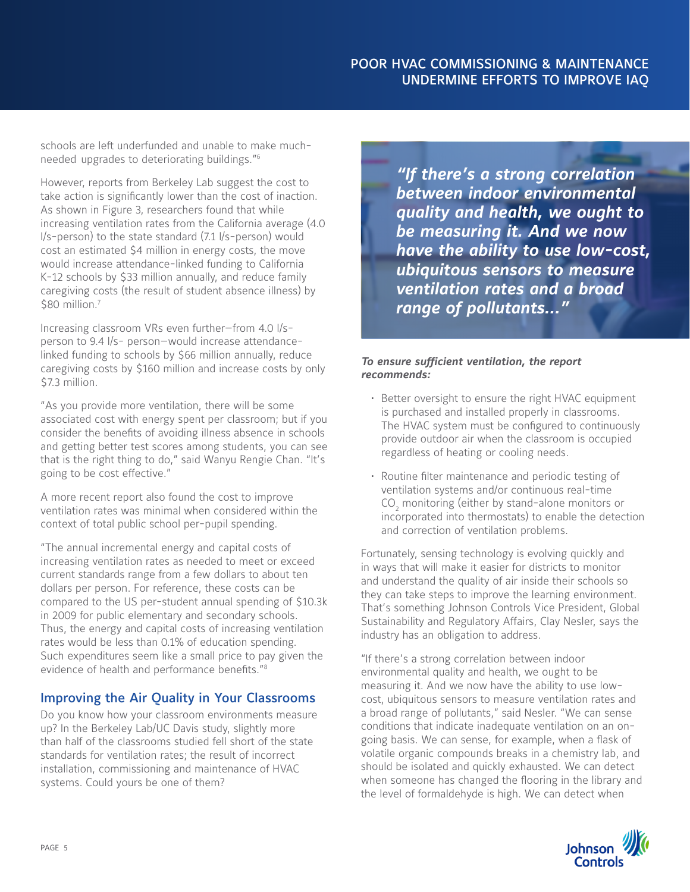schools are left underfunded and unable to make muchneeded upgrades to deteriorating buildings."6

However, reports from Berkeley Lab suggest the cost to take action is significantly lower than the cost of inaction. As shown in Figure 3, researchers found that while increasing ventilation rates from the California average (4.0 I/s-person) to the state standard (7.1 l/s-person) would cost an estimated \$4 million in energy costs, the move would increase attendance-linked funding to California K-12 schools by \$33 million annually, and reduce family caregiving costs (the result of student absence illness) by \$80 million.<sup>7</sup>

Increasing classroom VRs even further—from 4.0 I/sperson to 9.4 I/s- person—would increase attendancelinked funding to schools by \$66 million annually, reduce caregiving costs by \$160 million and increase costs by only \$7.3 million.

"As you provide more ventilation, there will be some associated cost with energy spent per classroom; but if you consider the benefits of avoiding illness absence in schools and getting better test scores among students, you can see that is the right thing to do," said Wanyu Rengie Chan. "It's going to be cost effective."

A more recent report also found the cost to improve ventilation rates was minimal when considered within the context of total public school per-pupil spending.

"The annual incremental energy and capital costs of increasing ventilation rates as needed to meet or exceed current standards range from a few dollars to about ten dollars per person. For reference, these costs can be compared to the US per-student annual spending of \$10.3k in 2009 for public elementary and secondary schools. Thus, the energy and capital costs of increasing ventilation rates would be less than 0.1% of education spending. Such expenditures seem like a small price to pay given the evidence of health and performance benefits."8

## Improving the Air Quality in Your Classrooms

Do you know how your classroom environments measure up? In the Berkeley Lab/UC Davis study, slightly more than half of the classrooms studied fell short of the state standards for ventilation rates; the result of incorrect installation, commissioning and maintenance of HVAC systems. Could yours be one of them?

*"If there's a strong correlation between indoor environmental quality and health, we ought to be measuring it. And we now have the ability to use low-cost, ubiquitous sensors to measure ventilation rates and a broad range of pollutants..."*

#### *To ensure sufficient ventilation, the report recommends:*

- Better oversight to ensure the right HVAC equipment is purchased and installed properly in classrooms. The HVAC system must be configured to continuously provide outdoor air when the classroom is occupied regardless of heating or cooling needs.
- Routine filter maintenance and periodic testing of ventilation systems and/or continuous real-time  $CO<sub>2</sub>$  monitoring (either by stand-alone monitors or incorporated into thermostats) to enable the detection and correction of ventilation problems.

Fortunately, sensing technology is evolving quickly and in ways that will make it easier for districts to monitor and understand the quality of air inside their schools so they can take steps to improve the learning environment. That's something Johnson Controls Vice President, Global Sustainability and Regulatory Affairs, Clay Nesler, says the industry has an obligation to address.

"If there's a strong correlation between indoor environmental quality and health, we ought to be measuring it. And we now have the ability to use lowcost, ubiquitous sensors to measure ventilation rates and a broad range of pollutants," said Nesler. "We can sense conditions that indicate inadequate ventilation on an ongoing basis. We can sense, for example, when a flask of volatile organic compounds breaks in a chemistry lab, and should be isolated and quickly exhausted. We can detect when someone has changed the flooring in the library and the level of formaldehyde is high. We can detect when

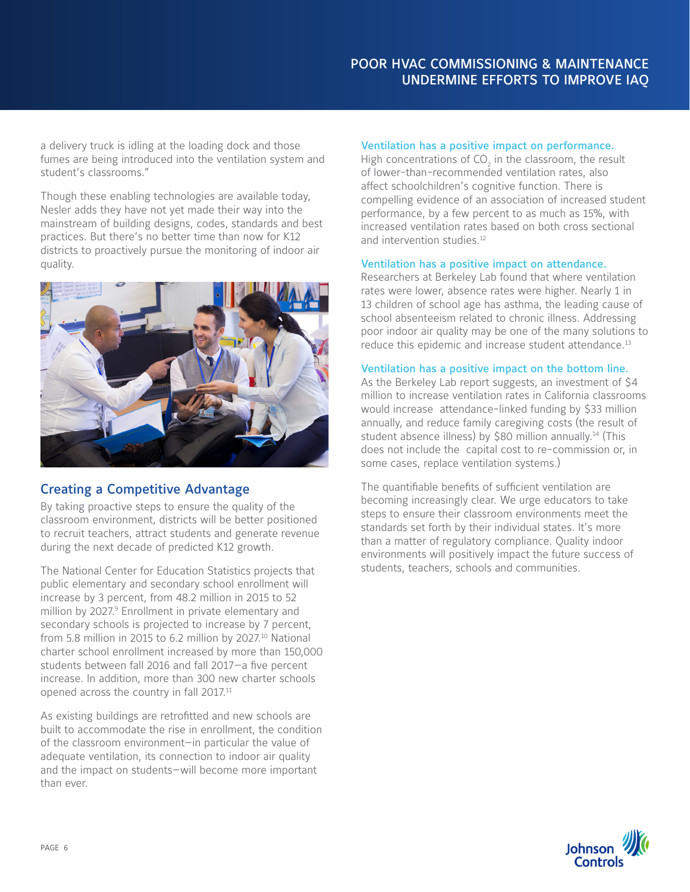a delivery truck is idling at the loading dock and those fumes are being introduced into the ventilation system and student's classrooms."

Though these enabling technologies are available today, Nesler adds they have not yet made their way into the mainstream of building designs, codes, standards and best practices. But there's no better time than now for K12 districts to proactively pursue the monitoring of indoor air quality.



## Creating a Competitive Advantage

By taking proactive steps to ensure the quality of the classroom environment, districts will be better positioned to recruit teachers, attract students and generate revenue during the next decade of predicted K12 growth.

The National Center for Education Statistics projects that public elementary and secondary school enrollment will increase by 3 percent, from 48.2 million in 2015 to 52 million by 2027.<sup>9</sup> Enrollment in private elementary and secondary schools is projected to increase by 7 percent, from 5.8 million in 2015 to 6.2 million by 2027.<sup>10</sup> National charter school enrollment increased by more than 150,000 students between fall 2016 and fall 2017—a five percent increase. In addition, more than 300 new charter schools opened across the country in fall 2017.<sup>11</sup>

As existing buildings are retrofitted and new schools are built to accommodate the rise in enrollment, the condition of the classroom environment—in particular the value of adequate ventilation, its connection to indoor air quality and the impact on students—will become more important than ever.

#### Ventilation has a positive impact on performance.

High concentrations of CO<sub>2</sub> in the classroom, the result of lower-than-recommended ventilation rates, also affect schoolchildren's cognitive function. There is compelling evidence of an association of increased student performance, by a few percent to as much as 15%, with increased ventilation rates based on both cross sectional and intervention studies.<sup>12</sup>

#### Ventilation has a positive impact on attendance.

Researchers at Berkeley Lab found that where ventilation rates were lower, absence rates were higher. Nearly 1 in 13 children of school age has asthma, the leading cause of school absenteeism related to chronic illness. Addressing poor indoor air quality may be one of the many solutions to reduce this epidemic and increase student attendance.<sup>13</sup>

#### Ventilation has a positive impact on the bottom line.

As the Berkeley Lab report suggests, an investment of \$4 million to increase ventilation rates in California classrooms would increase attendance-linked funding by \$33 million annually, and reduce family caregiving costs (the result of student absence illness) by \$80 million annually.<sup>14</sup> (This does not include the capital cost to re-commission or, in some cases, replace ventilation systems.)

The quantifiable benefits of sufficient ventilation are becoming increasingly clear. We urge educators to take steps to ensure their classroom environments meet the standards set forth by their individual states. It's more than a matter of regulatory compliance. Quality indoor environments will positively impact the future success of students, teachers, schools and communities.

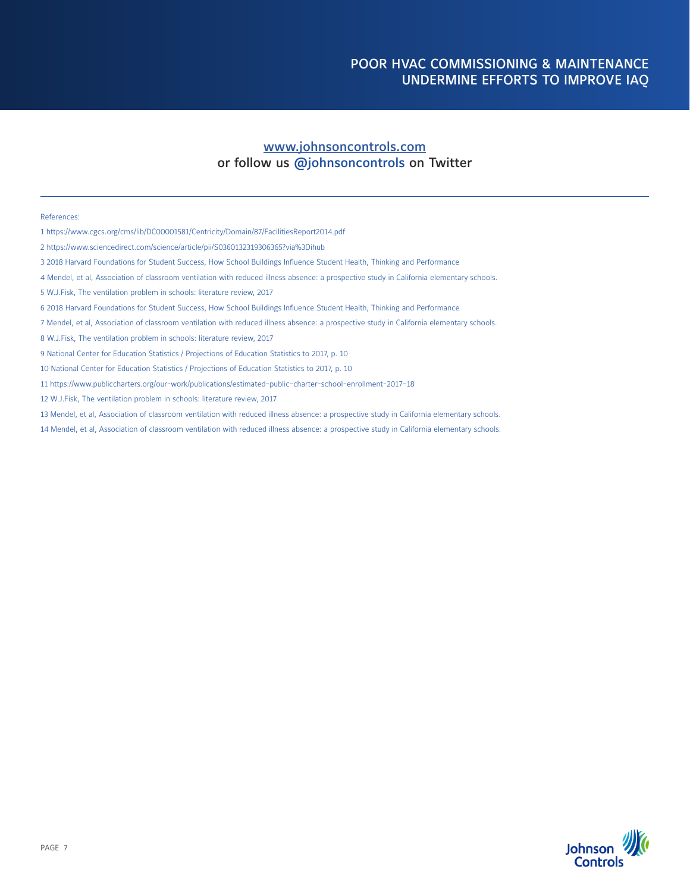## www.johnsoncontrols.com or follow us @johnsoncontrols on Twitter

#### References:

- 1 https://www.cgcs.org/cms/lib/DC00001581/Centricity/Domain/87/FacilitiesReport2014.pdf
- 2 https://www.sciencedirect.com/science/article/pii/S0360132319306365?via%3Dihub
- 3 2018 Harvard Foundations for Student Success, How School Buildings Influence Student Health, Thinking and Performance
- 4 Mendel, et al, Association of classroom ventilation with reduced illness absence: a prospective study in California elementary schools.
- 5 W.J.Fisk, The ventilation problem in schools: literature review, 2017
- 6 2018 Harvard Foundations for Student Success, How School Buildings Influence Student Health, Thinking and Performance
- 7 Mendel, et al, Association of classroom ventilation with reduced illness absence: a prospective study in California elementary schools.
- 8 W.J.Fisk, The ventilation problem in schools: literature review, 2017
- 9 National Center for Education Statistics / Projections of Education Statistics to 2017, p. 10
- 10 National Center for Education Statistics / Projections of Education Statistics to 2017, p. 10
- 11 https://www.publiccharters.org/our-work/publications/estimated-public-charter-school-enrollment-2017-18
- 12 W.J.Fisk, The ventilation problem in schools: literature review, 2017
- 13 Mendel, et al, Association of classroom ventilation with reduced illness absence: a prospective study in California elementary schools.
- 14 Mendel, et al, Association of classroom ventilation with reduced illness absence: a prospective study in California elementary schools.